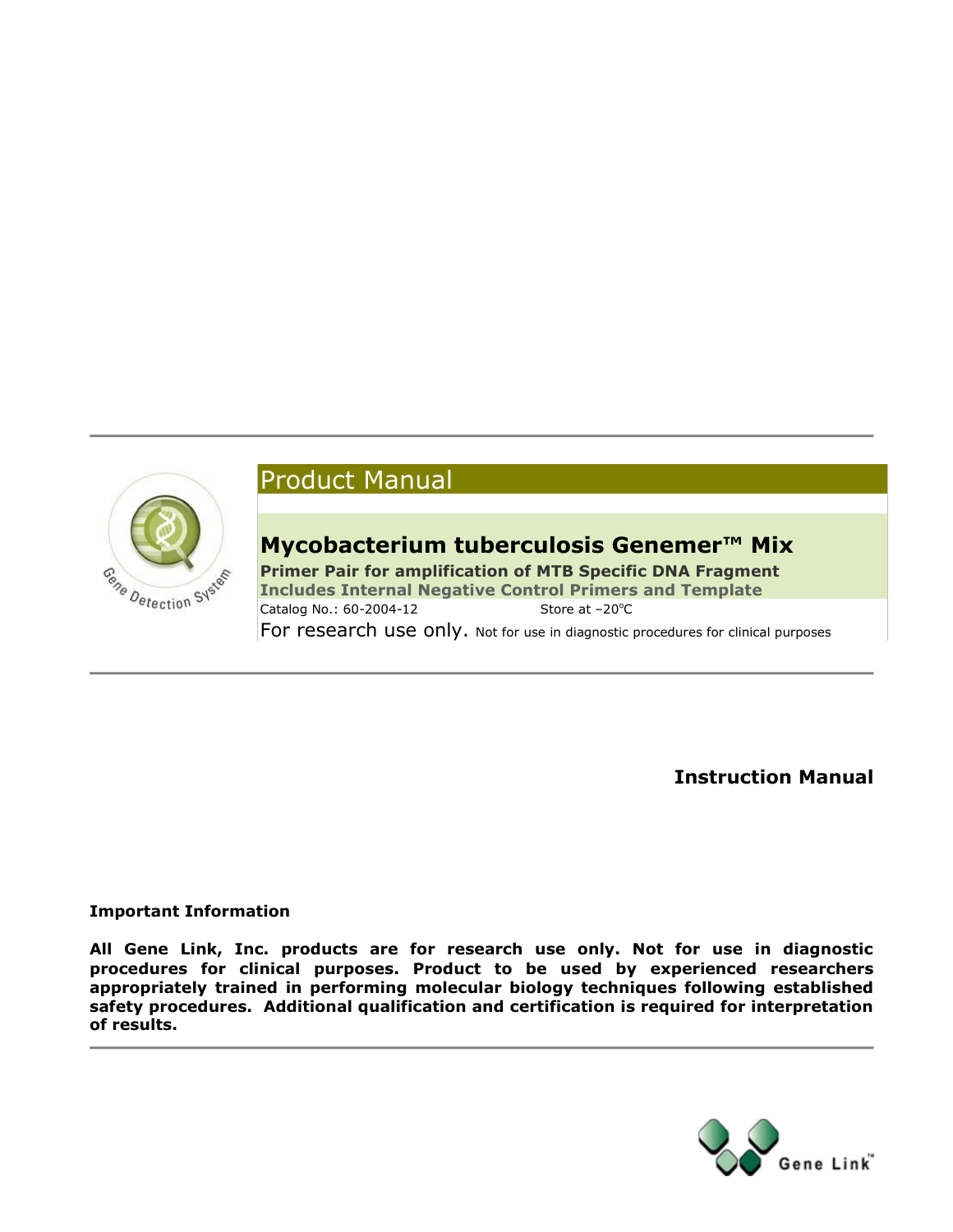

# Product Manual

# **Mycobacterium tuberculosis Genemer™ Mix**

**Primer Pair for amplification of MTB Specific DNA Fragment Includes Internal Negative Control Primers and Template** Catalog No.: 60-2004-12 Store at -20°C For research use only. Not for use in diagnostic procedures for clinical purposes

**Instruction Manual**

### **Important Information**

**All Gene Link, Inc. products are for research use only. Not for use in diagnostic procedures for clinical purposes. Product to be used by experienced researchers appropriately trained in performing molecular biology techniques following established safety procedures. Additional qualification and certification is required for interpretation of results.**

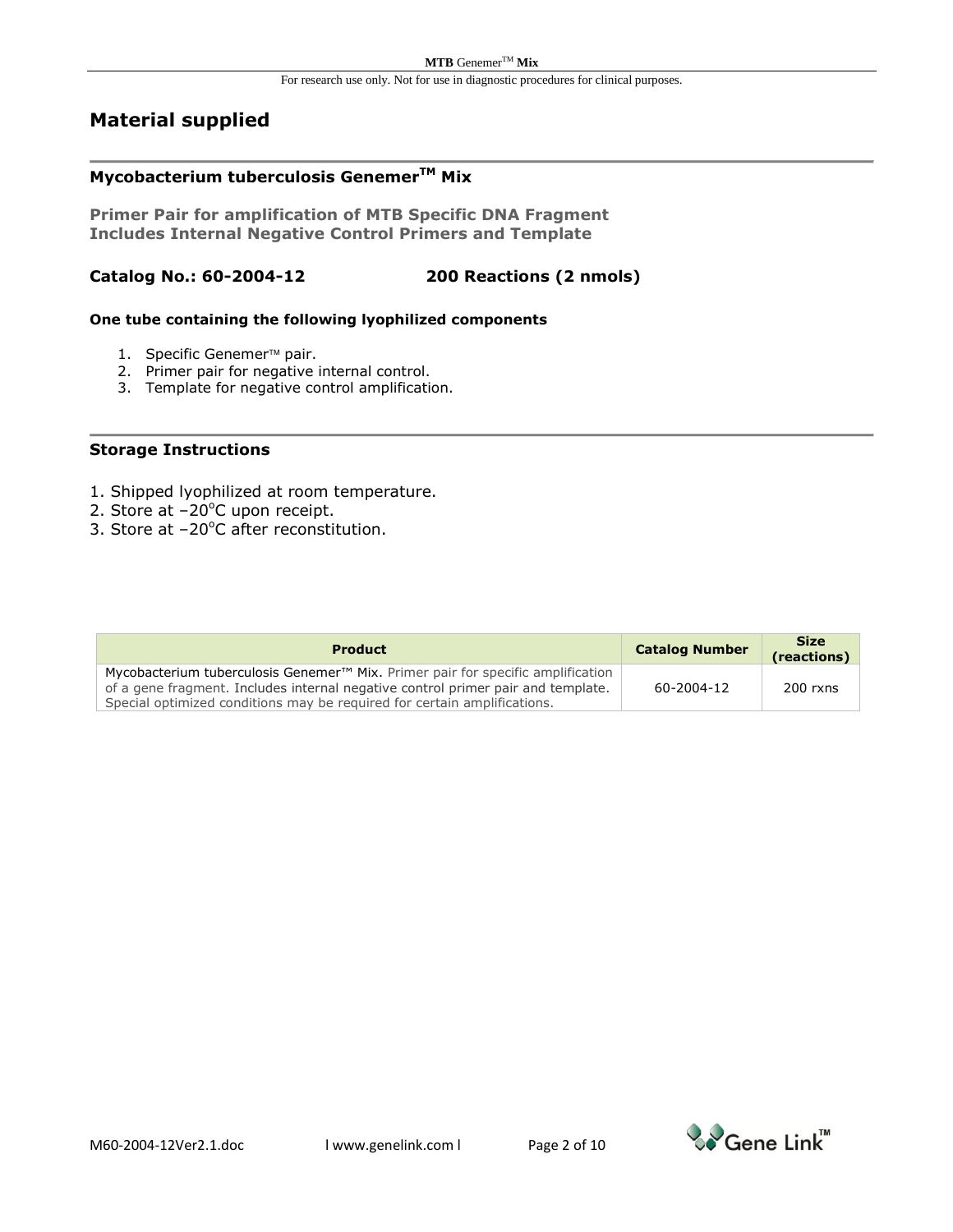### **Material supplied**

## **Mycobacterium tuberculosis GenemerTM Mix**

**Primer Pair for amplification of MTB Specific DNA Fragment Includes Internal Negative Control Primers and Template**

### **Catalog No.: 60-2004-12 200 Reactions (2 nmols)**

#### **One tube containing the following lyophilized components**

- 1. Specific Genemer<sup>™</sup> pair.
- 2. Primer pair for negative internal control.
- 3. Template for negative control amplification.

#### **Storage Instructions**

- 1. Shipped lyophilized at room temperature.
- 2. Store at  $-20^{\circ}$ C upon receipt.
- 3. Store at  $-20^{\circ}$ C after reconstitution.

| <b>Product</b>                                                                                                                                               | <b>Catalog Number</b> | <b>Size</b><br>(reactions) |
|--------------------------------------------------------------------------------------------------------------------------------------------------------------|-----------------------|----------------------------|
| Mycobacterium tuberculosis Genemer <sup>™</sup> Mix. Primer pair for specific amplification                                                                  |                       |                            |
| of a gene fragment. Includes internal negative control primer pair and template.<br>Special optimized conditions may be required for certain amplifications. | 60-2004-12            | $200$ rxns                 |

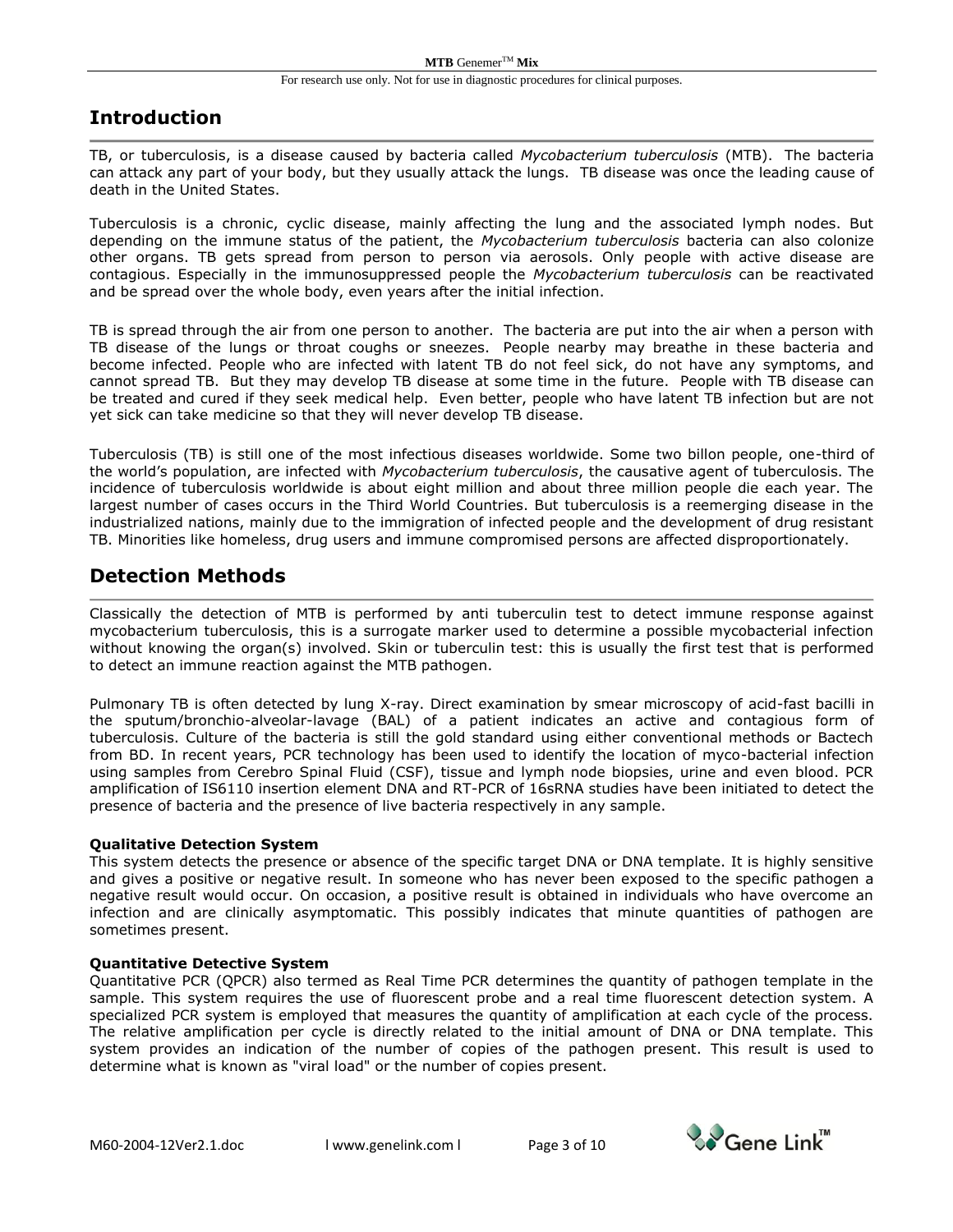### **Introduction**

TB, or tuberculosis, is a disease caused by bacteria called *Mycobacterium tuberculosis* (MTB). The bacteria can attack any part of your body, but they usually attack the lungs. TB disease was once the leading cause of death in the United States.

Tuberculosis is a chronic, cyclic disease, mainly affecting the lung and the associated lymph nodes. But depending on the immune status of the patient, the *Mycobacterium tuberculosis* bacteria can also colonize other organs. TB gets spread from person to person via aerosols. Only people with active disease are contagious. Especially in the immunosuppressed people the *Mycobacterium tuberculosis* can be reactivated and be spread over the whole body, even years after the initial infection.

TB is spread through the air from one person to another. The bacteria are put into the air when a person with TB disease of the lungs or throat coughs or sneezes. People nearby may breathe in these bacteria and become infected. People who are infected with latent TB do not feel sick, do not have any symptoms, and cannot spread TB. But they may develop TB disease at some time in the future. People with TB disease can be treated and cured if they seek medical help. Even better, people who have latent TB infection but are not yet sick can take medicine so that they will never develop TB disease.

Tuberculosis (TB) is still one of the most infectious diseases worldwide. Some two billon people, one-third of the world's population, are infected with *Mycobacterium tuberculosis*, the causative agent of tuberculosis. The incidence of tuberculosis worldwide is about eight million and about three million people die each year. The largest number of cases occurs in the Third World Countries. But tuberculosis is a reemerging disease in the industrialized nations, mainly due to the immigration of infected people and the development of drug resistant TB. Minorities like homeless, drug users and immune compromised persons are affected disproportionately.

## **Detection Methods**

Classically the detection of MTB is performed by anti tuberculin test to detect immune response against mycobacterium tuberculosis, this is a surrogate marker used to determine a possible mycobacterial infection without knowing the organ(s) involved. Skin or tuberculin test: this is usually the first test that is performed to detect an immune reaction against the MTB pathogen.

Pulmonary TB is often detected by lung X-ray. Direct examination by smear microscopy of acid-fast bacilli in the sputum/bronchio-alveolar-lavage (BAL) of a patient indicates an active and contagious form of tuberculosis. Culture of the bacteria is still the gold standard using either conventional methods or Bactech from BD. In recent years, PCR technology has been used to identify the location of myco-bacterial infection using samples from Cerebro Spinal Fluid (CSF), tissue and lymph node biopsies, urine and even blood. PCR amplification of IS6110 insertion element DNA and RT-PCR of 16sRNA studies have been initiated to detect the presence of bacteria and the presence of live bacteria respectively in any sample.

#### **Qualitative Detection System**

This system detects the presence or absence of the specific target DNA or DNA template. It is highly sensitive and gives a positive or negative result. In someone who has never been exposed to the specific pathogen a negative result would occur. On occasion, a positive result is obtained in individuals who have overcome an infection and are clinically asymptomatic. This possibly indicates that minute quantities of pathogen are sometimes present.

#### **Quantitative Detective System**

Quantitative PCR (QPCR) also termed as Real Time PCR determines the quantity of pathogen template in the sample. This system requires the use of fluorescent probe and a real time fluorescent detection system. A specialized PCR system is employed that measures the quantity of amplification at each cycle of the process. The relative amplification per cycle is directly related to the initial amount of DNA or DNA template. This system provides an indication of the number of copies of the pathogen present. This result is used to determine what is known as "viral load" or the number of copies present.

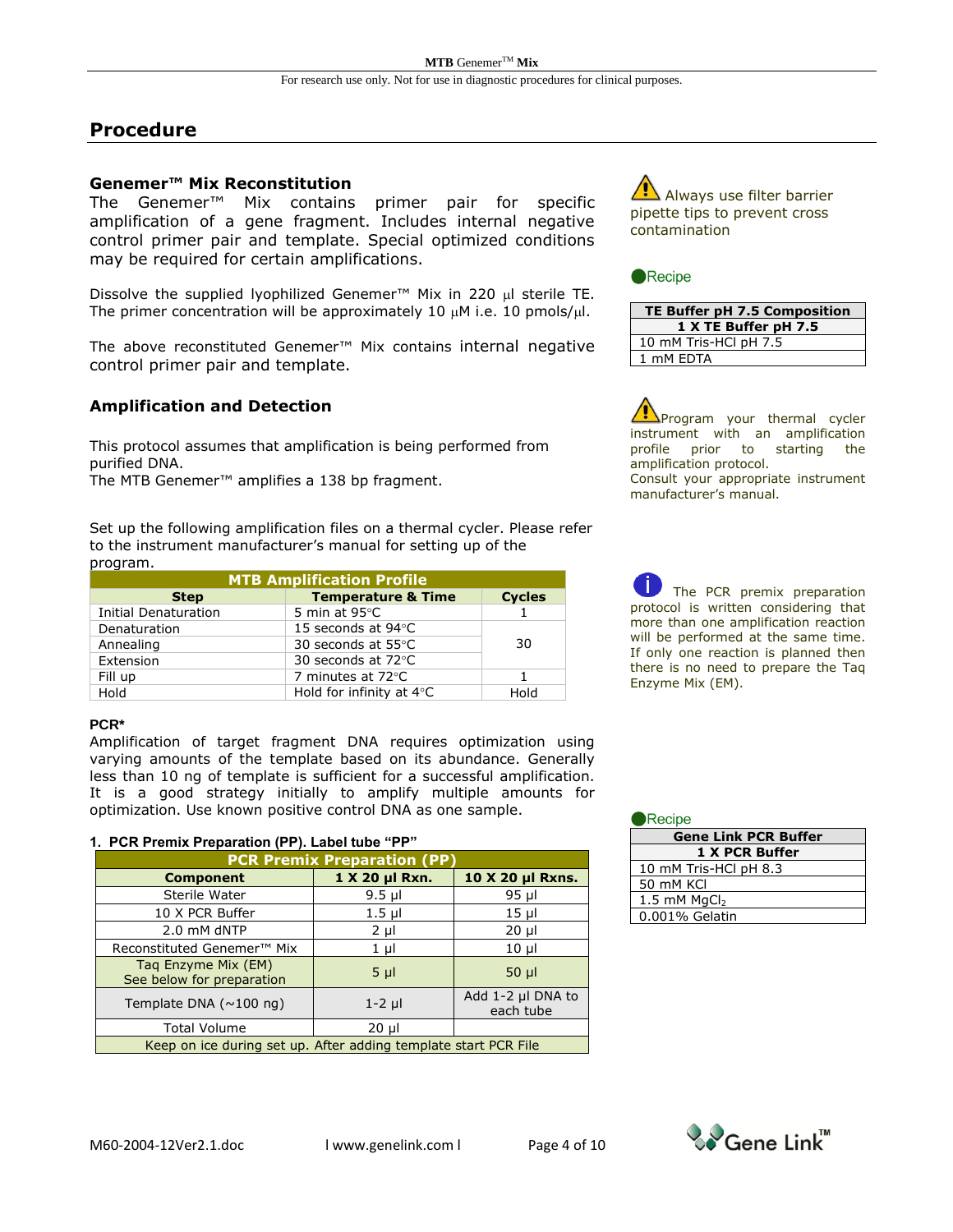### **Procedure**

#### **Genemer™ Mix Reconstitution**

The Genemer™ Mix contains primer pair for specific amplification of a gene fragment. Includes internal negative control primer pair and template. Special optimized conditions may be required for certain amplifications.

Dissolve the supplied lyophilized Genemer™ Mix in 220 µl sterile TE. The primer concentration will be approximately 10  $\mu$ M i.e. 10 pmols/ $\mu$ l.

The above reconstituted Genemer™ Mix contains internal negative control primer pair and template.

#### **Amplification and Detection**

This protocol assumes that amplification is being performed from purified DNA.

The MTB Genemer™ amplifies a 138 bp fragment.

Set up the following amplification files on a thermal cycler. Please refer to the instrument manufacturer's manual for setting up of the program.

| <b>MTB Amplification Profile</b> |                               |               |  |
|----------------------------------|-------------------------------|---------------|--|
| <b>Step</b>                      | <b>Temperature &amp; Time</b> | <b>Cycles</b> |  |
| Initial Denaturation             | 5 min at $95^{\circ}$ C       |               |  |
| Denaturation                     | 15 seconds at 94°C            |               |  |
| Annealing                        | 30 seconds at 55°C            | 30            |  |
| Extension                        | 30 seconds at 72°C            |               |  |
| Fill up                          | 7 minutes at 72°C             |               |  |
| Hold                             | Hold for infinity at 4°C      | Hold          |  |

#### **PCR\***

Amplification of target fragment DNA requires optimization using varying amounts of the template based on its abundance. Generally less than 10 ng of template is sufficient for a successful amplification. It is a good strategy initially to amplify multiple amounts for optimization. Use known positive control DNA as one sample.

#### **1. PCR Premix Preparation (PP). Label tube "PP"**

| <b>PCR Premix Preparation (PP)</b>                              |                |                                |  |  |  |
|-----------------------------------------------------------------|----------------|--------------------------------|--|--|--|
| <b>Component</b>                                                | 1 X 20 µl Rxn. | 10 X 20 µl Rxns.               |  |  |  |
| Sterile Water                                                   | $9.5$ µl       | $95$ µl                        |  |  |  |
| 10 X PCR Buffer                                                 | $1.5$ µl       | $15$ µl                        |  |  |  |
| 2.0 mM dNTP                                                     | $2 \mu l$      | $20 \mu$                       |  |  |  |
| Reconstituted Genemer <sup>™</sup> Mix                          | $1 \mu l$      | $10 \mu$                       |  |  |  |
| Tag Enzyme Mix (EM)<br>See below for preparation                | $5 \mu$        | $50$ $\mu$                     |  |  |  |
| Template DNA $(\sim 100 \text{ ng})$                            | $1-2$ µl       | Add 1-2 µl DNA to<br>each tube |  |  |  |
| <b>Total Volume</b>                                             | $20 \mu$       |                                |  |  |  |
| Keep on ice during set up. After adding template start PCR File |                |                                |  |  |  |

Always use filter barrier pipette tips to prevent cross contamination

#### Recipe

| TE Buffer pH 7.5 Composition |
|------------------------------|
| 1 X TE Buffer pH 7.5         |
| 10 mM Tris-HCl pH 7.5        |
| 1 mM EDTA                    |

Program your thermal cycler instrument with an amplification profile prior to starting the amplification protocol. Consult your appropriate instrument manufacturer's manual.

The PCR premix preparation protocol is written considering that more than one amplification reaction will be performed at the same time. If only one reaction is planned then there is no need to prepare the Taq Enzyme Mix (EM).

| $\blacksquare$ Recipe |                             |
|-----------------------|-----------------------------|
|                       | <b>Gene Link PCR Buffer</b> |
|                       | 1 X PCR Buffer              |
| 10 mM Tris-HCl pH 8.3 |                             |
| 50 mM KCI             |                             |
| 1.5 mM $MqCl2$        |                             |
| 0.001% Gelatin        |                             |

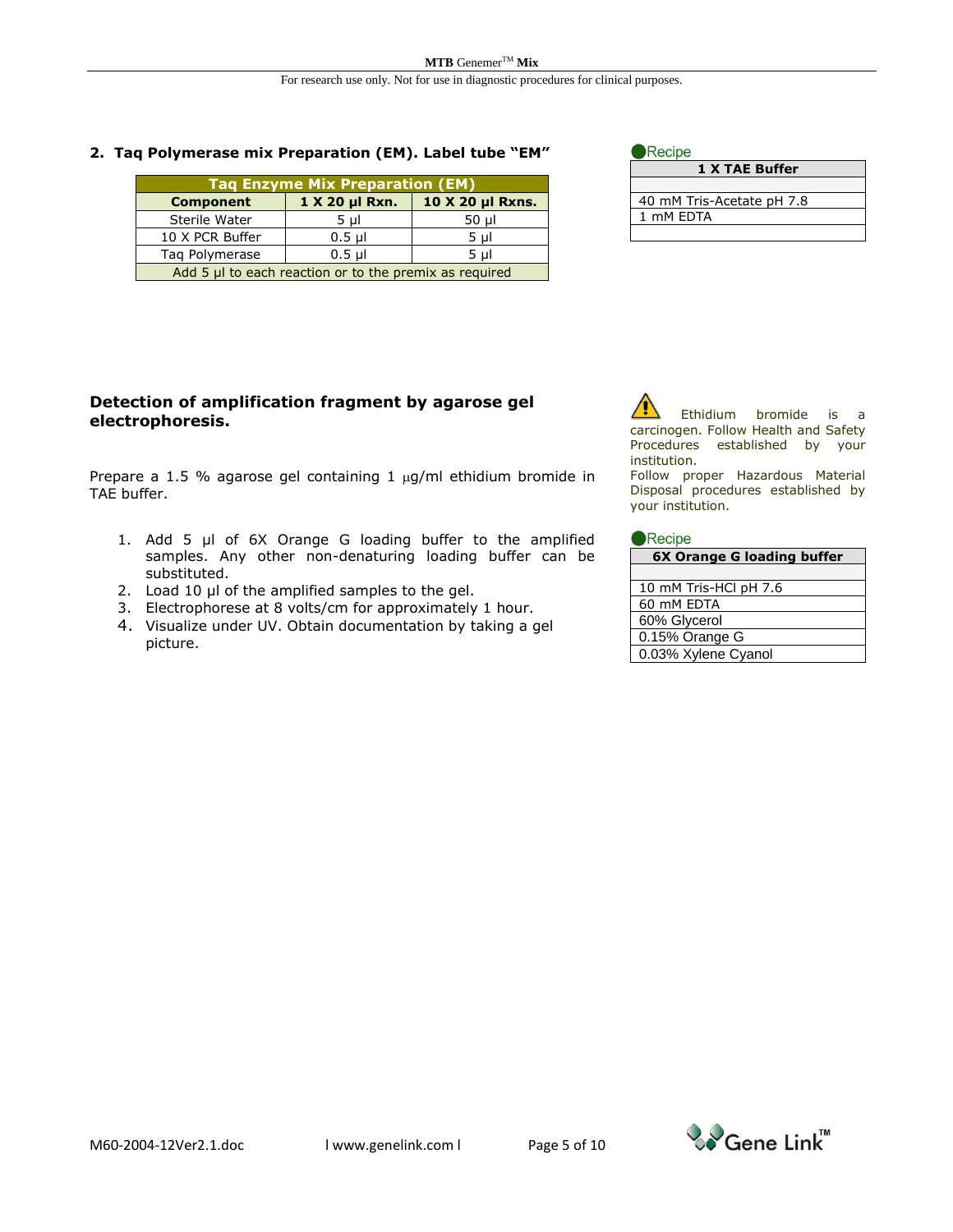#### **2. Taq Polymerase mix Preparation (EM). Label tube "EM"**

| <b>Tag Enzyme Mix Preparation (EM)</b>                 |          |         |  |  |  |
|--------------------------------------------------------|----------|---------|--|--|--|
| 10 X 20 µl Rxns.<br>1 X 20 µl Rxn.<br><b>Component</b> |          |         |  |  |  |
| Sterile Water                                          | $5 \mu$  | $50$ µl |  |  |  |
| 10 X PCR Buffer                                        | $0.5$ µl | $5 \mu$ |  |  |  |
| Tag Polymerase                                         | $0.5$ µl | 5 µl    |  |  |  |
| Add 5 µl to each reaction or to the premix as required |          |         |  |  |  |

| Recipe                    |
|---------------------------|
| 1 X TAE Buffer            |
|                           |
| 40 mM Tris-Acetate pH 7.8 |
| 1 mM FDTA                 |
|                           |

#### **Detection of amplification fragment by agarose gel electrophoresis.**

Prepare a 1.5 % agarose gel containing 1  $\mu$ g/ml ethidium bromide in TAE buffer.

- 1. Add 5 µl of 6X Orange G loading buffer to the amplified samples. Any other non-denaturing loading buffer can be substituted.
- 2. Load 10 µl of the amplified samples to the gel.
- 3. Electrophorese at 8 volts/cm for approximately 1 hour.
- 4. Visualize under UV. Obtain documentation by taking a gel picture.



Follow proper Hazardous Material Disposal procedures established by your institution.

#### Recipe

| 6X Orange G loading buffer |  |  |  |
|----------------------------|--|--|--|
|                            |  |  |  |
| 10 mM Tris-HCl pH 7.6      |  |  |  |
| 60 mM EDTA                 |  |  |  |
| 60% Glycerol               |  |  |  |
| 0.15% Orange G             |  |  |  |
| 0.03% Xylene Cyanol        |  |  |  |

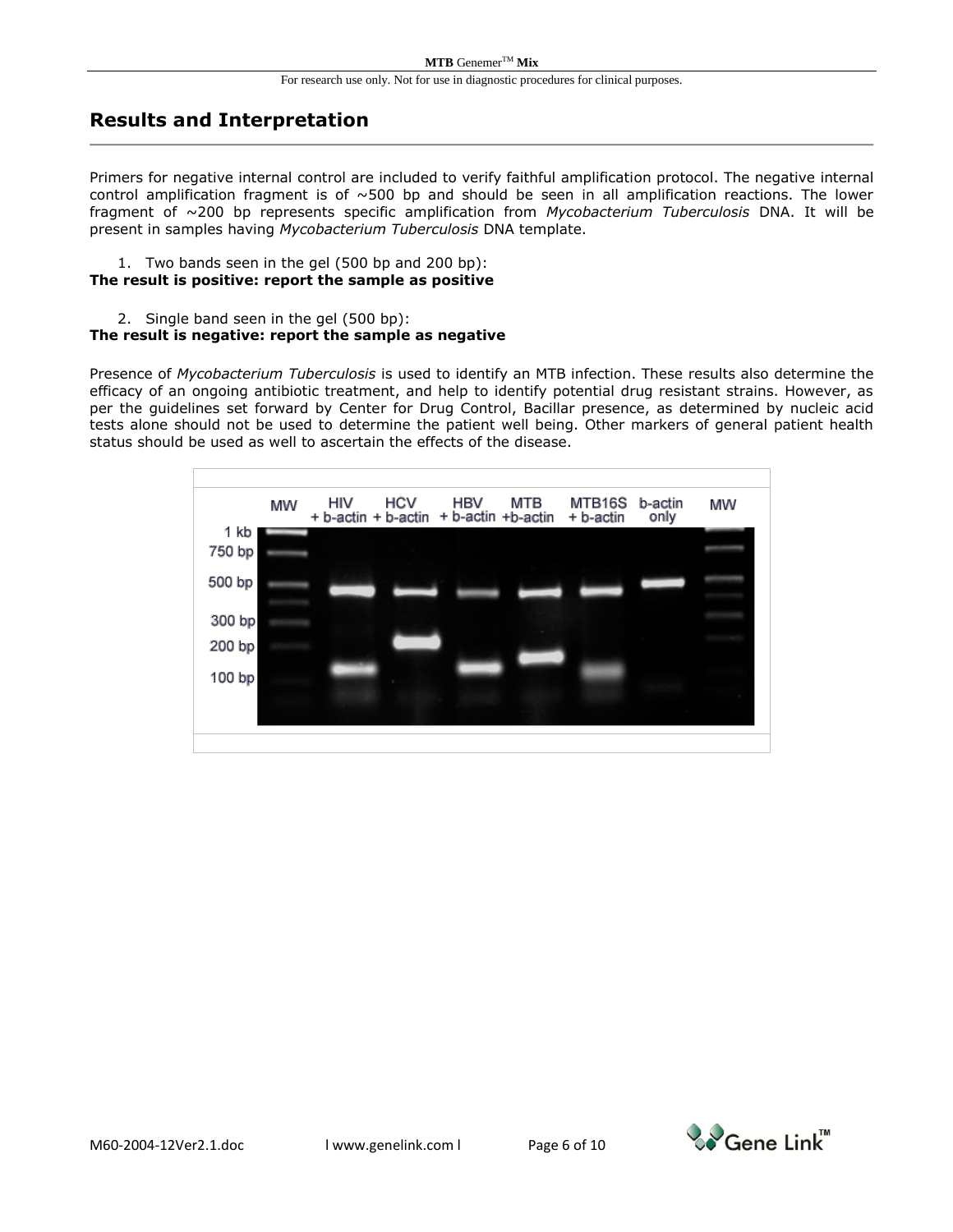### **Results and Interpretation**

Primers for negative internal control are included to verify faithful amplification protocol. The negative internal control amplification fragment is of  $\sim$ 500 bp and should be seen in all amplification reactions. The lower fragment of ~200 bp represents specific amplification from *Mycobacterium Tuberculosis* DNA. It will be present in samples having *Mycobacterium Tuberculosis* DNA template.

- 1. Two bands seen in the gel (500 bp and 200 bp): **The result is positive: report the sample as positive**
	- 2. Single band seen in the gel (500 bp):

#### **The result is negative: report the sample as negative**

Presence of *Mycobacterium Tuberculosis* is used to identify an MTB infection. These results also determine the efficacy of an ongoing antibiotic treatment, and help to identify potential drug resistant strains. However, as per the guidelines set forward by Center for Drug Control, Bacillar presence, as determined by nucleic acid tests alone should not be used to determine the patient well being. Other markers of general patient health status should be used as well to ascertain the effects of the disease.

|        | MW | <b>HIV</b><br>+ b-actin + b-actin | <b>HCV</b> | <b>HBV</b> | MTB<br>+ b-actin +b-actin | MTB <sub>16</sub> S<br>+ b-actin | b-actin<br>only | MW |
|--------|----|-----------------------------------|------------|------------|---------------------------|----------------------------------|-----------------|----|
| 1 kb   |    |                                   |            |            |                           |                                  |                 |    |
| 750 bp |    |                                   |            |            |                           |                                  |                 |    |
| 500 bp |    |                                   |            |            |                           |                                  |                 |    |
|        |    |                                   |            |            |                           |                                  |                 |    |
| 300 bp |    |                                   |            |            |                           |                                  |                 |    |
| 200 bp |    |                                   |            |            |                           |                                  |                 |    |
| 100 bp |    |                                   |            |            |                           |                                  |                 |    |
|        |    |                                   |            |            |                           |                                  |                 |    |
|        |    |                                   |            |            |                           |                                  |                 |    |

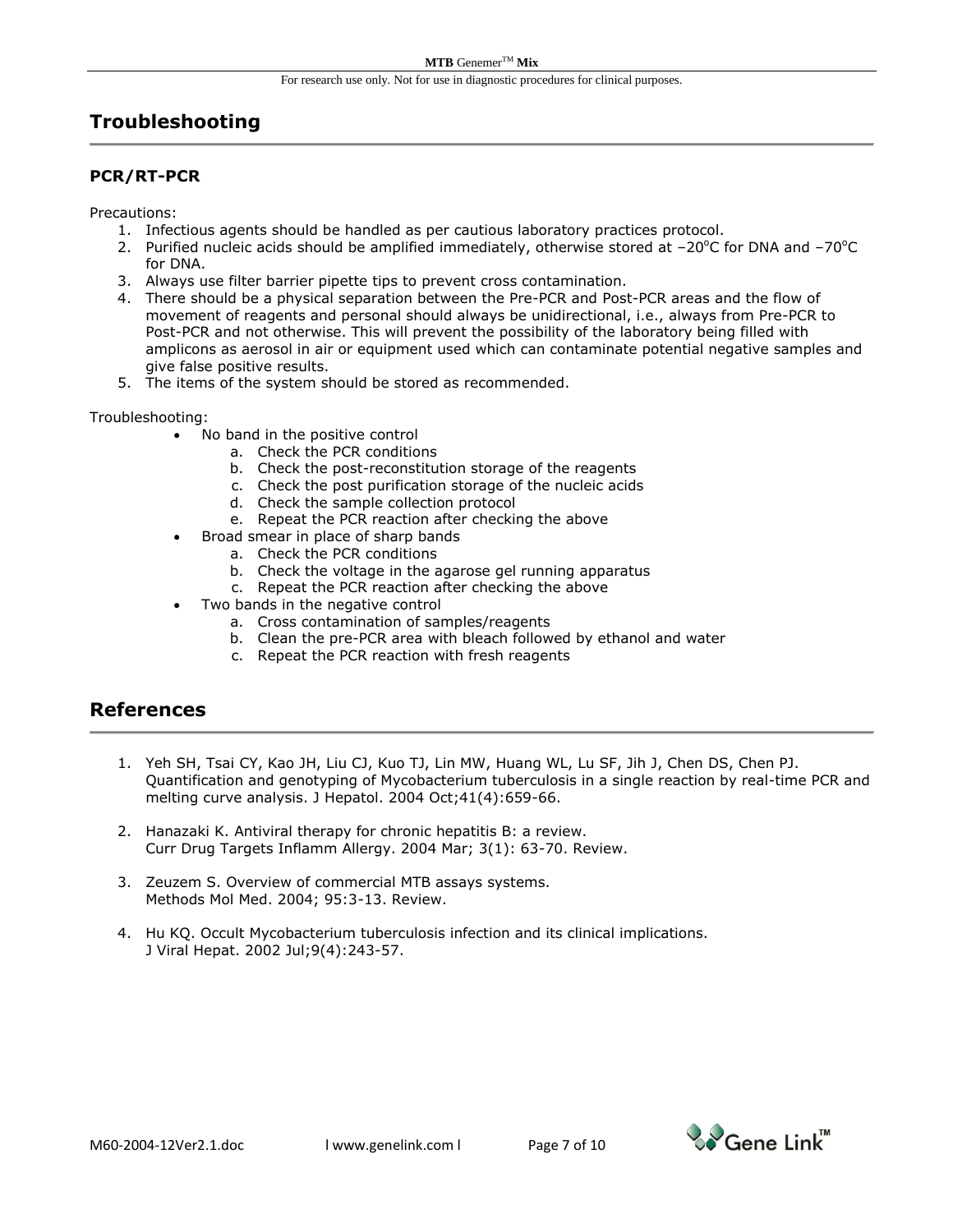# **Troubleshooting**

### **PCR/RT-PCR**

Precautions:

- 1. Infectious agents should be handled as per cautious laboratory practices protocol.
- 2. Purified nucleic acids should be amplified immediately, otherwise stored at  $-20^{\circ}$ C for DNA and  $-70^{\circ}$ C for DNA.
- 3. Always use filter barrier pipette tips to prevent cross contamination.
- 4. There should be a physical separation between the Pre-PCR and Post-PCR areas and the flow of movement of reagents and personal should always be unidirectional, i.e., always from Pre-PCR to Post-PCR and not otherwise. This will prevent the possibility of the laboratory being filled with amplicons as aerosol in air or equipment used which can contaminate potential negative samples and give false positive results.
- 5. The items of the system should be stored as recommended.

#### Troubleshooting:

- No band in the positive control
	- a. Check the PCR conditions
	- b. Check the post-reconstitution storage of the reagents
	- c. Check the post purification storage of the nucleic acids
	- d. Check the sample collection protocol
	- e. Repeat the PCR reaction after checking the above
	- Broad smear in place of sharp bands
		- a. Check the PCR conditions
			- b. Check the voltage in the agarose gel running apparatus
		- c. Repeat the PCR reaction after checking the above
- Two bands in the negative control
	- a. Cross contamination of samples/reagents
	- b. Clean the pre-PCR area with bleach followed by ethanol and water
	- c. Repeat the PCR reaction with fresh reagents

### **References**

- 1. Yeh SH, Tsai CY, Kao JH, Liu CJ, Kuo TJ, Lin MW, Huang WL, Lu SF, Jih J, Chen DS, Chen PJ. Quantification and genotyping of Mycobacterium tuberculosis in a single reaction by real-time PCR and melting curve analysis. J Hepatol. 2004 Oct;41(4):659-66.
- 2. Hanazaki K. Antiviral therapy for chronic hepatitis B: a review. Curr Drug Targets Inflamm Allergy. 2004 Mar; 3(1): 63-70. Review.
- 3. Zeuzem S. Overview of commercial MTB assays systems. Methods Mol Med. 2004; 95:3-13. Review.
- 4. Hu KQ. Occult Mycobacterium tuberculosis infection and its clinical implications. J Viral Hepat. 2002 Jul;9(4):243-57.

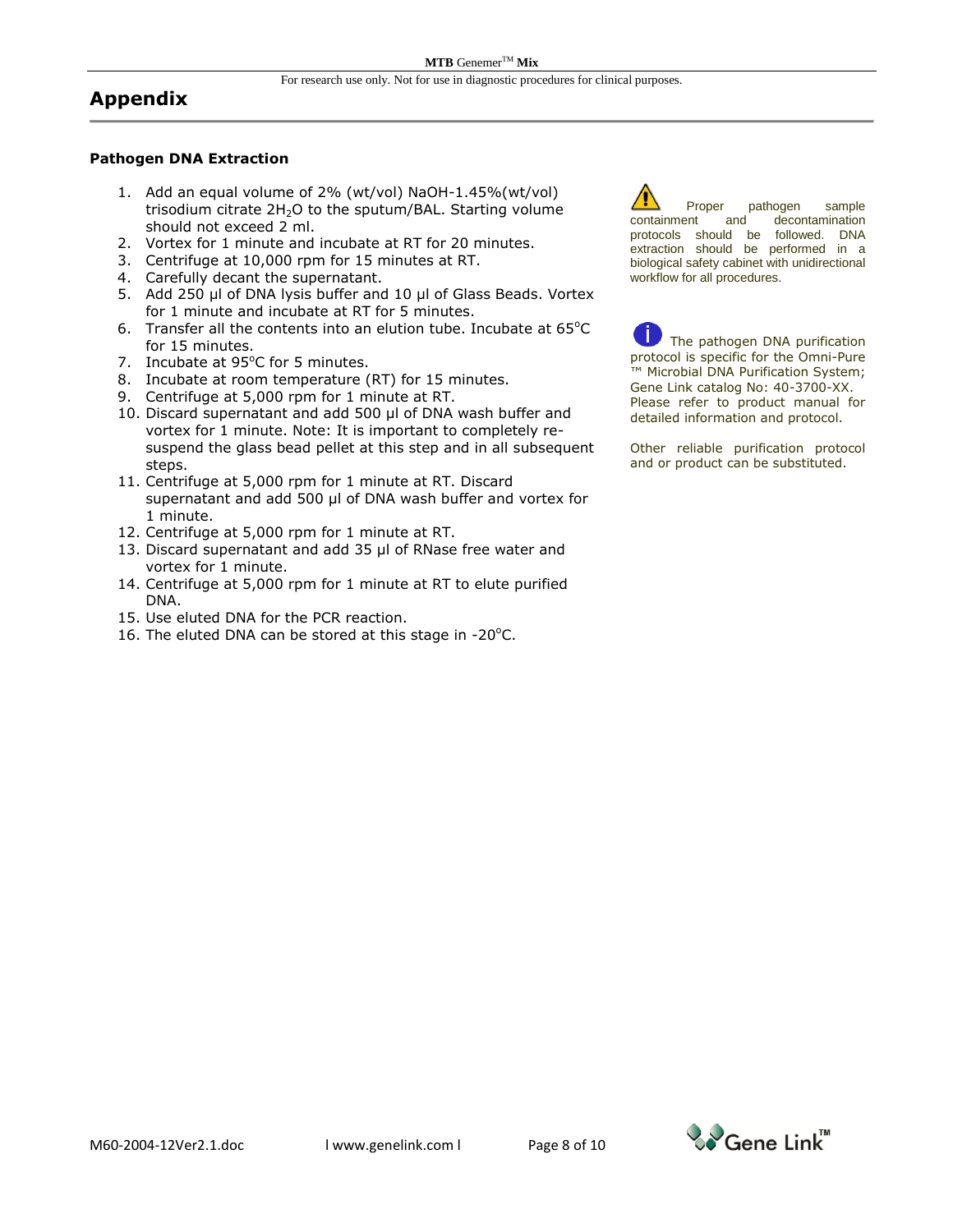### **Appendix**

#### **Pathogen DNA Extraction**

- 1. Add an equal volume of 2% (wt/vol) NaOH-1.45%(wt/vol) trisodium citrate  $2H<sub>2</sub>O$  to the sputum/BAL. Starting volume should not exceed 2 ml.
- 2. Vortex for 1 minute and incubate at RT for 20 minutes.
- 3. Centrifuge at 10,000 rpm for 15 minutes at RT.
- 4. Carefully decant the supernatant.
- 5. Add 250 µl of DNA lysis buffer and 10 µl of Glass Beads. Vortex for 1 minute and incubate at RT for 5 minutes.
- 6. Transfer all the contents into an elution tube. Incubate at  $65^{\circ}$ C for 15 minutes.
- 7. Incubate at 95°C for 5 minutes.
- 8. Incubate at room temperature (RT) for 15 minutes.
- 9. Centrifuge at 5,000 rpm for 1 minute at RT.
- 10. Discard supernatant and add 500 µl of DNA wash buffer and vortex for 1 minute. Note: It is important to completely resuspend the glass bead pellet at this step and in all subsequent steps.
- 11. Centrifuge at 5,000 rpm for 1 minute at RT. Discard supernatant and add 500 µl of DNA wash buffer and vortex for 1 minute.
- 12. Centrifuge at 5,000 rpm for 1 minute at RT.
- 13. Discard supernatant and add 35 µl of RNase free water and vortex for 1 minute.
- 14. Centrifuge at 5,000 rpm for 1 minute at RT to elute purified DNA.
- 15. Use eluted DNA for the PCR reaction.
- 16. The eluted DNA can be stored at this stage in -20 $^{\circ}$ C.

Proper pathogen sample containment and decontamination protocols should be followed. DNA extraction should be performed in a biological safety cabinet with unidirectional workflow for all procedures.

The pathogen DNA purification protocol is specific for the Omni-Pure ™ Microbial DNA Purification System; Gene Link catalog No: 40-3700-XX. Please refer to product manual for detailed information and protocol.

Other reliable purification protocol and or product can be substituted.

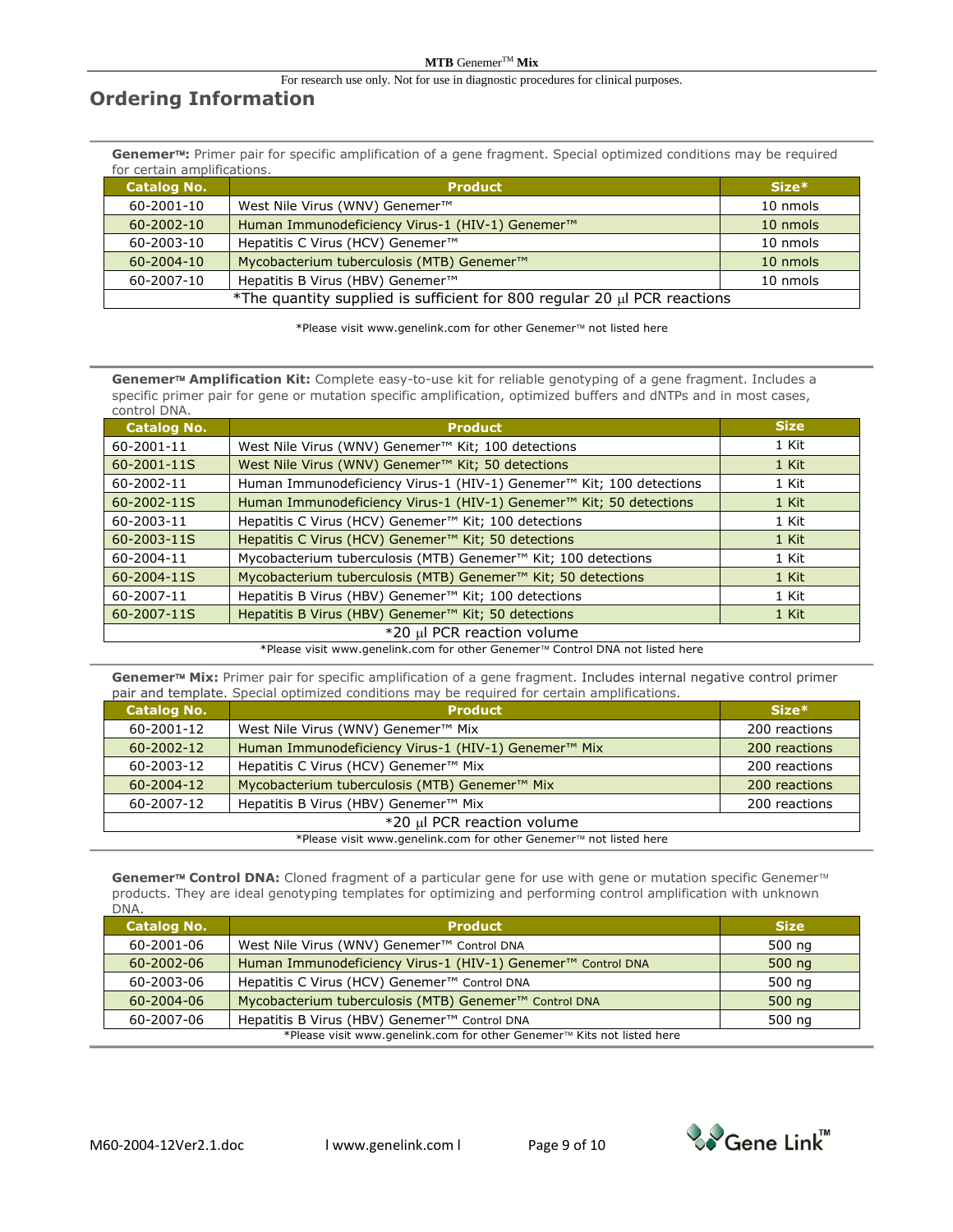#### $\mathbf{MTB}$  GenemerTM  $\mathbf{Mix}$

For research use only. Not for use in diagnostic procedures for clinical purposes.

## **Ordering Information**

**Genemer:** Primer pair for specific amplification of a gene fragment. Special optimized conditions may be required for certain amplifications.

| <b>Catalog No.</b>                                                       | <b>Product</b>                                        | $Size*$  |
|--------------------------------------------------------------------------|-------------------------------------------------------|----------|
| 60-2001-10                                                               | West Nile Virus (WNV) Genemer™                        | 10 nmols |
| $60 - 2002 - 10$                                                         | Human Immunodeficiency Virus-1 (HIV-1) Genemer™       | 10 nmols |
| 60-2003-10                                                               | Hepatitis C Virus (HCV) Genemer <sup>™</sup>          | 10 nmols |
| $60 - 2004 - 10$                                                         | Mycobacterium tuberculosis (MTB) Genemer <sup>™</sup> | 10 nmols |
| 60-2007-10                                                               | Hepatitis B Virus (HBV) Genemer <sup>™</sup>          | 10 nmols |
| *The quantity supplied is sufficient for 800 regular 20 µl PCR reactions |                                                       |          |

\*Please visit www.genelink.com for other Genemer<sup>™</sup> not listed here

Genemer<sup>™</sup> Amplification Kit: Complete easy-to-use kit for reliable genotyping of a gene fragment. Includes a specific primer pair for gene or mutation specific amplification, optimized buffers and dNTPs and in most cases, control DNA.

| CUTTLE UI DIVA.<br><b>Catalog No.</b> | <b>Product</b>                                                                  | <b>Size</b> |
|---------------------------------------|---------------------------------------------------------------------------------|-------------|
| 60-2001-11                            | West Nile Virus (WNV) Genemer™ Kit; 100 detections                              | 1 Kit       |
| 60-2001-11S                           | West Nile Virus (WNV) Genemer <sup>™</sup> Kit; 50 detections                   | 1 Kit       |
| 60-2002-11                            | Human Immunodeficiency Virus-1 (HIV-1) Genemer <sup>™</sup> Kit; 100 detections | 1 Kit       |
| 60-2002-11S                           | Human Immunodeficiency Virus-1 (HIV-1) Genemer <sup>™</sup> Kit; 50 detections  | 1 Kit       |
| 60-2003-11                            | Hepatitis C Virus (HCV) Genemer <sup>™</sup> Kit; 100 detections                | 1 Kit       |
| 60-2003-11S                           | Hepatitis C Virus (HCV) Genemer <sup>™</sup> Kit; 50 detections                 | 1 Kit       |
| 60-2004-11                            | Mycobacterium tuberculosis (MTB) Genemer <sup>™</sup> Kit; 100 detections       | 1 Kit       |
| 60-2004-11S                           | Mycobacterium tuberculosis (MTB) Genemer <sup>™</sup> Kit; 50 detections        | 1 Kit       |
| 60-2007-11                            | Hepatitis B Virus (HBV) Genemer <sup>™</sup> Kit; 100 detections                | 1 Kit       |
| 60-2007-11S                           | Hepatitis B Virus (HBV) Genemer <sup>™</sup> Kit; 50 detections                 | 1 Kit       |
|                                       | *20 µl PCR reaction volume                                                      |             |

\*Please visit www.genelink.com for other Genemer™ Control DNA not listed here

Genemer<sup>™</sup> Mix: Primer pair for specific amplification of a gene fragment. Includes internal negative control primer pair and template. Special optimized conditions may be required for certain amplifications.

| <b>Catalog No.</b>                                                | <b>Product</b>                                                  | $Size*$       |  |
|-------------------------------------------------------------------|-----------------------------------------------------------------|---------------|--|
| 60-2001-12                                                        | West Nile Virus (WNV) Genemer <sup>™</sup> Mix                  | 200 reactions |  |
| $60 - 2002 - 12$                                                  | Human Immunodeficiency Virus-1 (HIV-1) Genemer <sup>™</sup> Mix | 200 reactions |  |
| 60-2003-12                                                        | Hepatitis C Virus (HCV) Genemer <sup>™</sup> Mix                | 200 reactions |  |
| $60 - 2004 - 12$                                                  | Mycobacterium tuberculosis (MTB) Genemer <sup>™</sup> Mix       | 200 reactions |  |
| 60-2007-12                                                        | Hepatitis B Virus (HBV) Genemer <sup>™</sup> Mix                | 200 reactions |  |
| *20 µl PCR reaction volume                                        |                                                                 |               |  |
| *Please visit www.genelink.com for other Genemer™ not listed here |                                                                 |               |  |

Genemer<sup>™</sup> Control DNA: Cloned fragment of a particular gene for use with gene or mutation specific Genemer<sup>™</sup> products. They are ideal genotyping templates for optimizing and performing control amplification with unknown DNA.

| <b>Catalog No.</b>                                                     | <b>Product</b>                                                          | <b>Size</b> |  |
|------------------------------------------------------------------------|-------------------------------------------------------------------------|-------------|--|
| 60-2001-06                                                             | West Nile Virus (WNV) Genemer™ Control DNA                              | 500 ng      |  |
| $60 - 2002 - 06$                                                       | Human Immunodeficiency Virus-1 (HIV-1) Genemer <sup>™</sup> Control DNA | 500 $nq$    |  |
| 60-2003-06                                                             | Hepatitis C Virus (HCV) Genemer <sup>™</sup> Control DNA                | 500 ng      |  |
| 60-2004-06                                                             | Mycobacterium tuberculosis (MTB) Genemer <sup>™</sup> Control DNA       | 500 ng      |  |
| 60-2007-06                                                             | Hepatitis B Virus (HBV) Genemer <sup>™</sup> Control DNA                | 500 ng      |  |
| *Please visit www.genelink.com for other Genemer™ Kits not listed here |                                                                         |             |  |